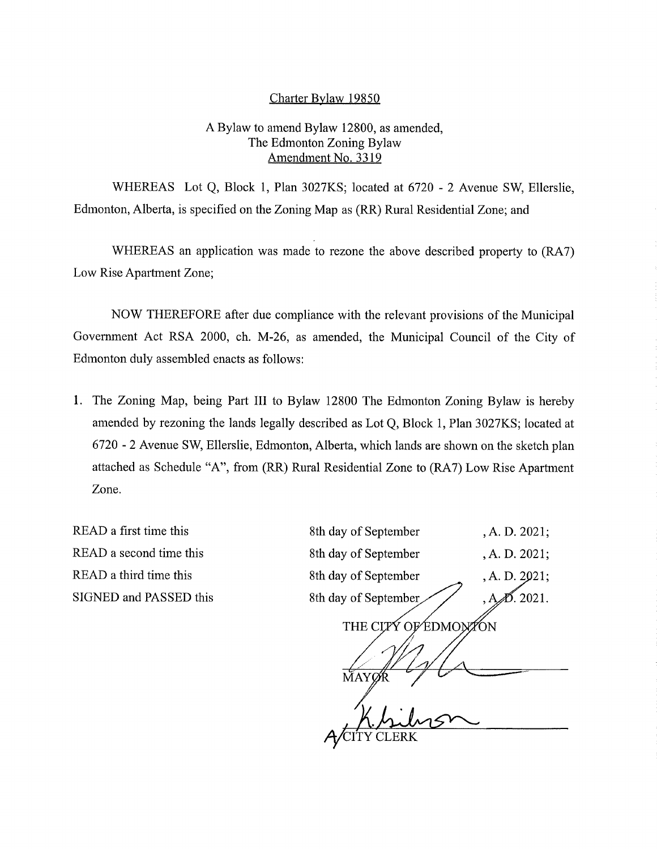## Charter Bylaw 19850

## A Bylaw to amend Bylaw 12800, as amended, The Edmonton Zoning Bylaw Amendment No. 3319

WHEREAS Lot Q, Block 1, Plan 3027KS; located at 6720 - 2 Avenue SW, Ellerslie, Edmonton, Alberta, is specified on the Zoning Map as (RR) Rural Residential Zone; and

WHEREAS an application was made to rezone the above described property to (RA7) Low Rise Apartment Zone;

NOW THEREFORE after due compliance with the relevant provisions of the Municipal Government Act RSA 2000, ch. M-26, as amended, the Municipal Council of the City of Edmonton duly assembled enacts as follows:

1. The Zoning Map, being Part III to Bylaw 12800 The Edmonton Zoning Bylaw is hereby amended by rezoning the lands legally described as Lot Q, Block 1, Plan 3027KS; located at 6720 - 2 Avenue SW, Ellerslie, Edmonton, Alberta, which lands are shown on the sketch plan attached as Schedule "A", from (RR) Rural Residential Zone to (RA7) Low Rise Apartment Zone.

READ a first time this READ a second time this READ a third time this SIGNED and PASSED this 8th day of September 8th day of September 8th day of September 8th day of September THE CLPY OF EDMONTON **MAYØR** ACITY CLERK ,A. D. 2021; ,A. D. 2021; ,A. D. 2021; D. 2021.